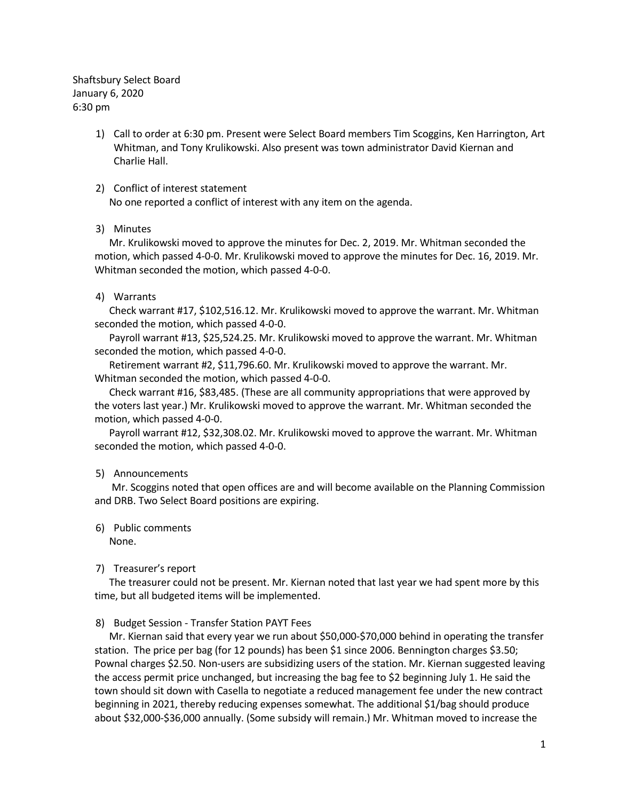Shaftsbury Select Board January 6, 2020 6:30 pm

> 1) Call to order at 6:30 pm. Present were Select Board members Tim Scoggins, Ken Harrington, Art Whitman, and Tony Krulikowski. Also present was town administrator David Kiernan and Charlie Hall.

### 2) Conflict of interest statement

No one reported a conflict of interest with any item on the agenda.

### 3) Minutes

Mr. Krulikowski moved to approve the minutes for Dec. 2, 2019. Mr. Whitman seconded the motion, which passed 4-0-0. Mr. Krulikowski moved to approve the minutes for Dec. 16, 2019. Mr. Whitman seconded the motion, which passed 4-0-0.

### 4) Warrants

Check warrant #17, \$102,516.12. Mr. Krulikowski moved to approve the warrant. Mr. Whitman seconded the motion, which passed 4-0-0.

Payroll warrant #13, \$25,524.25. Mr. Krulikowski moved to approve the warrant. Mr. Whitman seconded the motion, which passed 4-0-0.

Retirement warrant #2, \$11,796.60. Mr. Krulikowski moved to approve the warrant. Mr. Whitman seconded the motion, which passed 4-0-0.

Check warrant #16, \$83,485. (These are all community appropriations that were approved by the voters last year.) Mr. Krulikowski moved to approve the warrant. Mr. Whitman seconded the motion, which passed 4-0-0.

Payroll warrant #12, \$32,308.02. Mr. Krulikowski moved to approve the warrant. Mr. Whitman seconded the motion, which passed 4-0-0.

# 5) Announcements

Mr. Scoggins noted that open offices are and will become available on the Planning Commission and DRB. Two Select Board positions are expiring.

# 6) Public comments

None.

# 7) Treasurer's report

The treasurer could not be present. Mr. Kiernan noted that last year we had spent more by this time, but all budgeted items will be implemented.

# 8) Budget Session - Transfer Station PAYT Fees

Mr. Kiernan said that every year we run about \$50,000-\$70,000 behind in operating the transfer station. The price per bag (for 12 pounds) has been \$1 since 2006. Bennington charges \$3.50; Pownal charges \$2.50. Non-users are subsidizing users of the station. Mr. Kiernan suggested leaving the access permit price unchanged, but increasing the bag fee to \$2 beginning July 1. He said the town should sit down with Casella to negotiate a reduced management fee under the new contract beginning in 2021, thereby reducing expenses somewhat. The additional \$1/bag should produce about \$32,000-\$36,000 annually. (Some subsidy will remain.) Mr. Whitman moved to increase the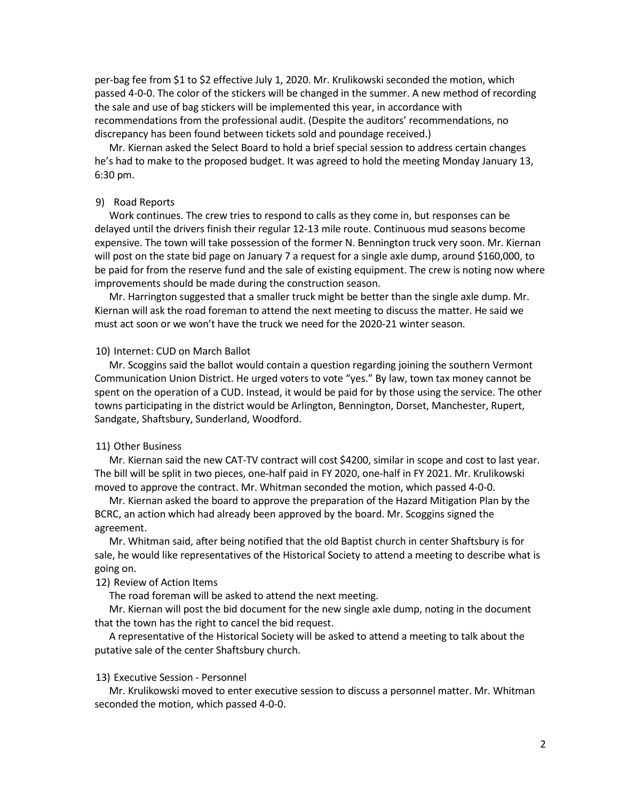per-bag fee from \$1 to \$2 effective July 1, 2020. Mr. Krulikowski seconded the motion, which passed 4-0-0. The color of the stickers will be changed in the summer. A new method of recording the sale and use of bag stickers will be implemented this year, in accordance with recommendations from the professional audit. (Despite the auditors' recommendations, no discrepancy has been found between tickets sold and poundage received.)

Mr. Kiernan asked the Select Board to hold a brief special session to address certain changes he's had to make to the proposed budget. It was agreed to hold the meeting Monday January 13, 6:30 pm.

#### 9) Road Reports

Work continues. The crew tries to respond to calls as they come in, but responses can be delayed until the drivers finish their regular 12-13 mile route. Continuous mud seasons become expensive. The town will take possession of the former N. Bennington truck very soon. Mr. Kiernan will post on the state bid page on January 7 a request for a single axle dump, around \$160,000, to be paid for from the reserve fund and the sale of existing equipment. The crew is noting now where improvements should be made during the construction season.

Mr. Harrington suggested that a smaller truck might be better than the single axle dump. Mr. Kiernan will ask the road foreman to attend the next meeting to discuss the matter. He said we must act soon or we won't have the truck we need for the 2020-21 winter season.

### 10) Internet: CUD on March Ballot

Mr. Scoggins said the ballot would contain a question regarding joining the southern Vermont Communication Union District. He urged voters to vote "yes." By law, town tax money cannot be spent on the operation of a CUD. Instead, it would be paid for by those using the service. The other towns participating in the district would be Arlington, Bennington, Dorset, Manchester, Rupert, Sandgate, Shaftsbury, Sunderland, Woodford.

### 11) Other Business

Mr. Kiernan said the new CAT-TV contract will cost \$4200, similar in scope and cost to last year. The bill will be split in two pieces, one-half paid in FY 2020, one-half in FY 2021. Mr. Krulikowski moved to approve the contract. Mr. Whitman seconded the motion, which passed 4-0-0.

Mr. Kiernan asked the board to approve the preparation of the Hazard Mitigation Plan by the BCRC, an action which had already been approved by the board. Mr. Scoggins signed the agreement.

Mr. Whitman said, after being notified that the old Baptist church in center Shaftsbury is for sale, he would like representatives of the Historical Society to attend a meeting to describe what is going on.

### 12) Review of Action Items

The road foreman will be asked to attend the next meeting.

Mr. Kiernan will post the bid document for the new single axle dump, noting in the document that the town has the right to cancel the bid request.

A representative of the Historical Society will be asked to attend a meeting to talk about the putative sale of the center Shaftsbury church.

#### 13) Executive Session - Personnel

Mr. Krulikowski moved to enter executive session to discuss a personnel matter. Mr. Whitman seconded the motion, which passed 4-0-0.